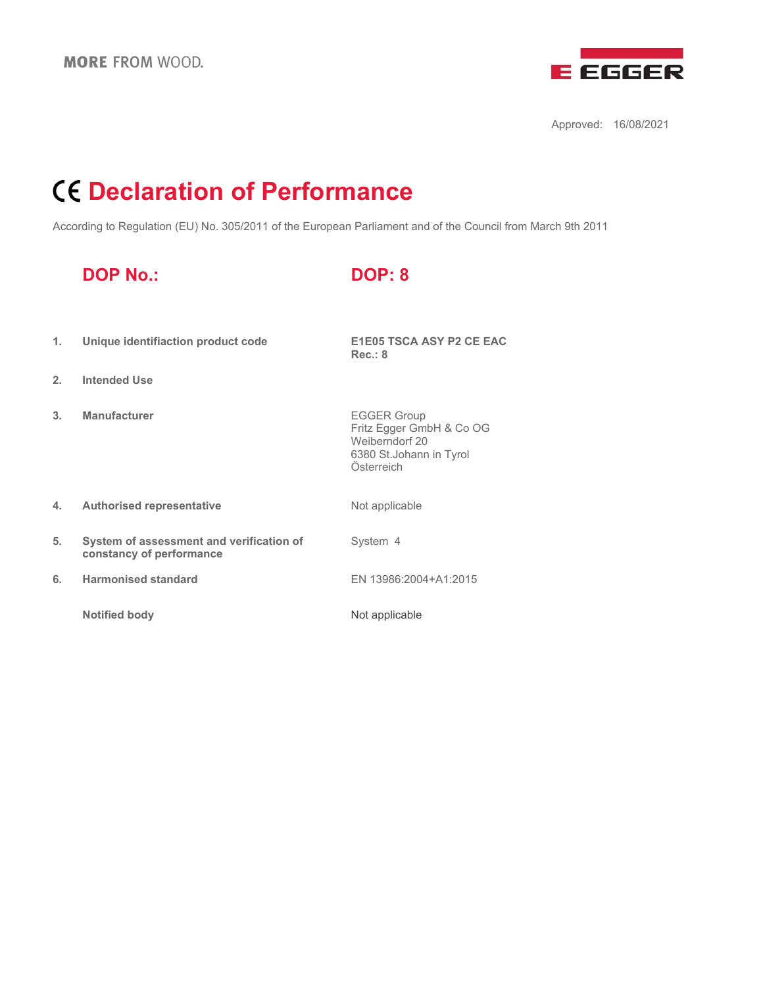

Approved: 16/08/2021

# **Declaration of Performance**

According to Regulation (EU) No. 305/2011 of the European Parliament and of the Council from March 9th 2011

# **DOP No.: DOP: 8**

**Rec.: 8**

- **1. Unique identifiaction product code E1E05 TSCA ASY P2 CE EAC**
- **2. Intended Use**
- **3. Manufacturer EGGER Group**

Fritz Egger GmbH & Co OG Weiberndorf 20 6380 St.Johann in Tyrol Österreich

- **4. Authorised representative** Mot applicable
- **5. System of assessment and verification of constancy of performance**
- **6. Harmonised standard** EN 13986:2004+A1:2015

**Notified body** Not applicable

System 4